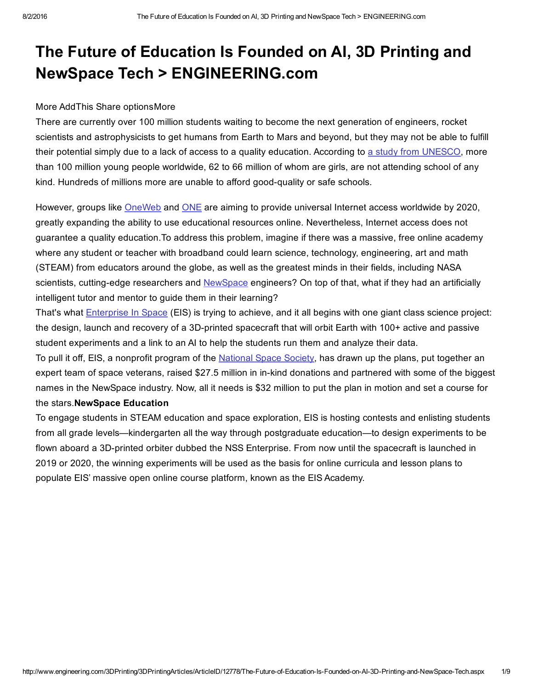# The Future of Education Is Founded on AI, 3D Printing and NewSpace Tech > ENGINEERING.com

## More AddThis Share optionsMore

There are currently over 100 million students waiting to become the next generation of engineers, rocket scientists and astrophysicists to get humans from Earth to Mars and beyond, but they may not be able to fulfill their potential simply due to a lack of access to a quality education. According to a study from [UNESCO](http://www.uis.unesco.org/Education/Pages/out-of-school-children.aspx), more than 100 million young people worldwide, 62 to 66 million of whom are girls, are not attending school of any kind. Hundreds of millions more are unable to afford good-quality or safe schools.

However, groups like [OneWeb](http://oneweb.world/need) and [ONE](https://www.one.org/us/2015/09/26/the-connectivity-declaration-demanding-internet-access-for-all-and-implementation-of-the-global-goals/) are aiming to provide universal Internet access worldwide by 2020, greatly expanding the ability to use educational resources online. Nevertheless, Internet access does not guarantee a quality education.To address this problem, imagine if there was a massive, free online academy where any student or teacher with broadband could learn science, technology, engineering, art and math (STEAM) from educators around the globe, as well as the greatest minds in their fields, including NASA scientists, cutting-edge researchers and [NewSpace](http://arstechnica.com/science/2014/11/firefly-space-systems-charges-full-speed-toward-low-earth-orbit/) engineers? On top of that, what if they had an artificially intelligent tutor and mentor to guide them in their learning?

That's what [Enterprise](http://enterpriseinspace.org/) In Space (EIS) is trying to achieve, and it all begins with one giant class science project: the design, launch and recovery of a 3D-printed spacecraft that will orbit Earth with 100+ active and passive student experiments and a link to an AI to help the students run them and analyze their data.

To pull it off, EIS, a nonprofit program of the [National](http://nss.org/) Space Society, has drawn up the plans, put together an expert team of space veterans, raised \$27.5 million in in-kind donations and partnered with some of the biggest names in the NewSpace industry. Now, all it needs is \$32 million to put the plan in motion and set a course for the stars.NewSpace Education

To engage students in STEAM education and space exploration, EIS is hosting contests and enlisting students from all grade levels—kindergarten all the way through postgraduate education—to design experiments to be flown aboard a 3D-printed orbiter dubbed the NSS Enterprise. From now until the spacecraft is launched in 2019 or 2020, the winning experiments will be used as the basis for online curricula and lesson plans to populate EIS' massive open online course platform, known as the EIS Academy.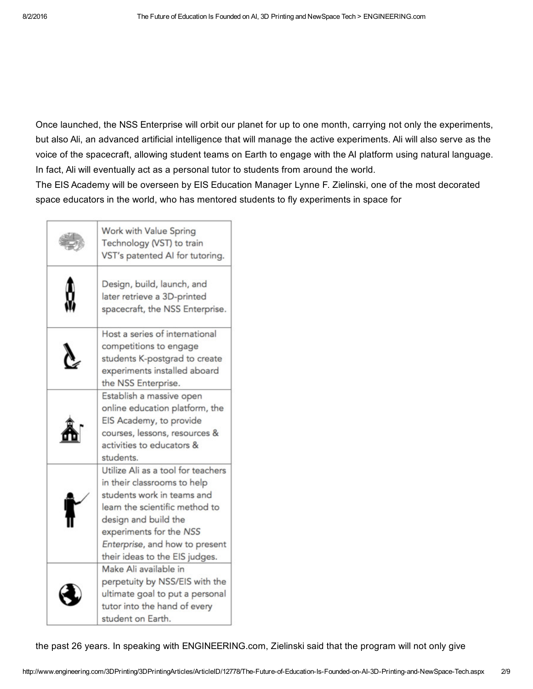Once launched, the NSS Enterprise will orbit our planet for up to one month, carrying not only the experiments, but also Ali, an advanced artificial intelligence that will manage the active experiments. Ali will also serve as the voice of the spacecraft, allowing student teams on Earth to engage with the AI platform using natural language. In fact, Ali will eventually act as a personal tutor to students from around the world.

The EIS Academy will be overseen by EIS Education Manager Lynne F. Zielinski, one of the most decorated space educators in the world, who has mentored students to fly experiments in space for

| Work with Value Spring<br>Technology (VST) to train<br>VST's patented AI for tutoring.                                                                                                                                                                   |
|----------------------------------------------------------------------------------------------------------------------------------------------------------------------------------------------------------------------------------------------------------|
| Design, build, launch, and<br>later retrieve a 3D-printed<br>spacecraft, the NSS Enterprise.                                                                                                                                                             |
| Host a series of international<br>competitions to engage<br>students K-postgrad to create<br>experiments installed aboard<br>the NSS Enterprise.                                                                                                         |
| Establish a massive open<br>online education platform, the<br>EIS Academy, to provide<br>courses, lessons, resources &<br>activities to educators &<br>students.                                                                                         |
| Utilize Ali as a tool for teachers<br>in their classrooms to help<br>students work in teams and<br>learn the scientific method to<br>design and build the<br>experiments for the NSS<br>Enterprise, and how to present<br>their ideas to the EIS judges. |
| Make Ali available in<br>perpetuity by NSS/EIS with the<br>ultimate goal to put a personal<br>tutor into the hand of every<br>student on Earth.                                                                                                          |

the past 26 years. In speaking with ENGINEERING.com, Zielinski said that the program will not only give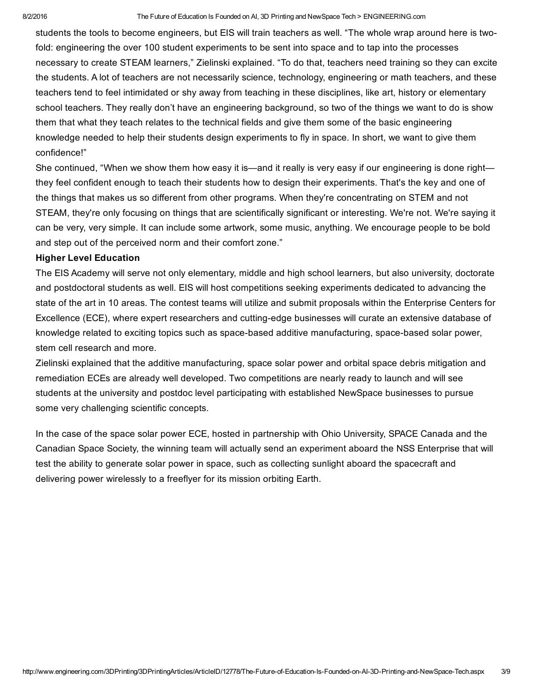students the tools to become engineers, but EIS will train teachers as well. "The whole wrap around here is twofold: engineering the over 100 student experiments to be sent into space and to tap into the processes necessary to create STEAM learners," Zielinski explained. "To do that, teachers need training so they can excite the students. A lot of teachers are not necessarily science, technology, engineering or math teachers, and these teachers tend to feel intimidated or shy away from teaching in these disciplines, like art, history or elementary school teachers. They really don't have an engineering background, so two of the things we want to do is show them that what they teach relates to the technical fields and give them some of the basic engineering knowledge needed to help their students design experiments to fly in space. In short, we want to give them confidence!"

She continued, "When we show them how easy it is—and it really is very easy if our engineering is done right they feel confident enough to teach their students how to design their experiments. That's the key and one of the things that makes us so different from other programs. When they're concentrating on STEM and not STEAM, they're only focusing on things that are scientifically significant or interesting. We're not. We're saying it can be very, very simple. It can include some artwork, some music, anything. We encourage people to be bold and step out of the perceived norm and their comfort zone."

## Higher Level Education

The EIS Academy will serve not only elementary, middle and high school learners, but also university, doctorate and postdoctoral students as well. EIS will host competitions seeking experiments dedicated to advancing the state of the art in 10 areas. The contest teams will utilize and submit proposals within the Enterprise Centers for Excellence (ECE), where expert researchers and cutting-edge businesses will curate an extensive database of knowledge related to exciting topics such as space-based additive manufacturing, space-based solar power, stem cell research and more.

Zielinski explained that the additive manufacturing, space solar power and orbital space debris mitigation and remediation ECEs are already well developed. Two competitions are nearly ready to launch and will see students at the university and postdoc level participating with established NewSpace businesses to pursue some very challenging scientific concepts.

In the case of the space solar power ECE, hosted in partnership with Ohio University, SPACE Canada and the Canadian Space Society, the winning team will actually send an experiment aboard the NSS Enterprise that will test the ability to generate solar power in space, such as collecting sunlight aboard the spacecraft and delivering power wirelessly to a freeflyer for its mission orbiting Earth.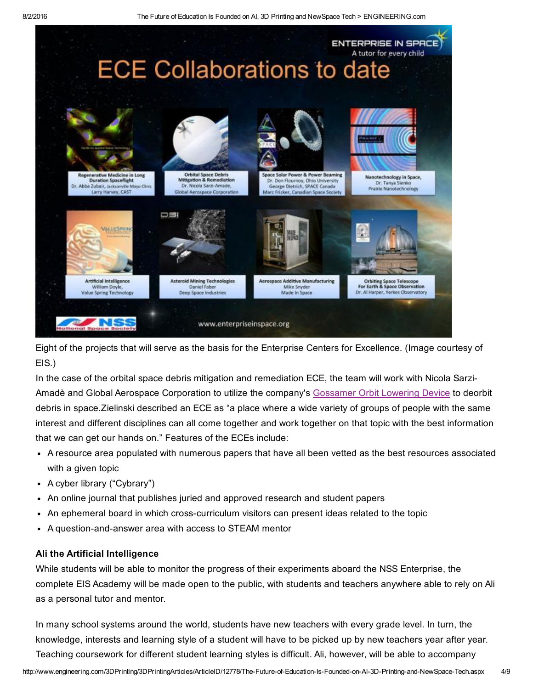

Eight of the projects that will serve as the basis for the Enterprise Centers for Excellence. (Image courtesy of EIS.)

In the case of the orbital space debris mitigation and remediation ECE, the team will work with Nicola Sarzi-Amadè and Global Aerospace Corporation to utilize the company's [Gossamer](http://www.gaerospace.com/aeroassist/gossamer-orbit-lowering-device-gold-for-low-risk-satellite-de-orbit/) Orbit Lowering Device to deorbit debris in space.Zielinski described an ECE as "a place where a wide variety of groups of people with the same interest and different disciplines can all come together and work together on that topic with the best information that we can get our hands on." Features of the ECEs include:

- A resource area populated with numerous papers that have all been vetted as the best resources associated with a given topic
- A cyber library ("Cybrary")
- An online journal that publishes juried and approved research and student papers
- An ephemeral board in which cross-curriculum visitors can present ideas related to the topic
- A question-and-answer area with access to STEAM mentor

#### Ali the Artificial Intelligence

While students will be able to monitor the progress of their experiments aboard the NSS Enterprise, the complete EIS Academy will be made open to the public, with students and teachers anywhere able to rely on Ali as a personal tutor and mentor.

In many school systems around the world, students have new teachers with every grade level. In turn, the knowledge, interests and learning style of a student will have to be picked up by new teachers year after year. Teaching coursework for different student learning styles is difficult. Ali, however, will be able to accompany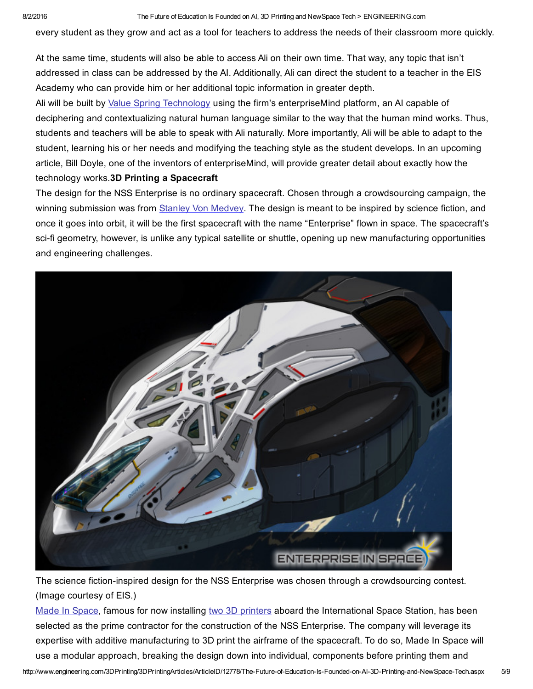every student as they grow and act as a tool for teachers to address the needs of their classroom more quickly.

At the same time, students will also be able to access Ali on their own time. That way, any topic that isn't addressed in class can be addressed by the AI. Additionally, Ali can direct the student to a teacher in the EIS Academy who can provide him or her additional topic information in greater depth.

Ali will be built by Value Spring [Technology](http://www.thevaluespring.com/) using the firm's enterpriseMind platform, an AI capable of deciphering and contextualizing natural human language similar to the way that the human mind works. Thus, students and teachers will be able to speak with Ali naturally. More importantly, Ali will be able to adapt to the student, learning his or her needs and modifying the teaching style as the student develops. In an upcoming article, Bill Doyle, one of the inventors of enterpriseMind, will provide greater detail about exactly how the technology works.3D Printing a Spacecraft

The design for the NSS Enterprise is no ordinary spacecraft. Chosen through a crowdsourcing campaign, the winning submission was from Stanley Von [Medvey](http://www.stanleyvonmedvey.com/). The design is meant to be inspired by science fiction, and once it goes into orbit, it will be the first spacecraft with the name "Enterprise" flown in space. The spacecraft's sci-fi geometry, however, is unlike any typical satellite or shuttle, opening up new manufacturing opportunities and engineering challenges.



The science fiction-inspired design for the NSS Enterprise was chosen through a crowdsourcing contest. (Image courtesy of EIS.)

Made In [Space](http://madeinspace.us/), famous for now installing two 3D [printers](http://www.engineering.com/3DPrinting/3DPrintingArticles/ArticleID/12114/First-Commercial-3D-Printer-Successfully-Installed-on-ISS.aspx) aboard the International Space Station, has been selected as the prime contractor for the construction of the NSS Enterprise*.* The company will leverage its expertise with additive manufacturing to 3D print the airframe of the spacecraft. To do so, Made In Space will use a modular approach, breaking the design down into individual, components before printing them and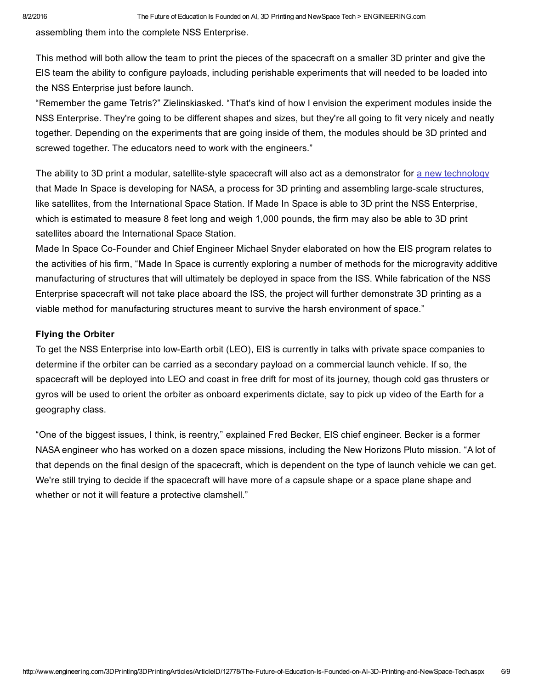assembling them into the complete NSS Enterprise.

This method will both allow the team to print the pieces of the spacecraft on a smaller 3D printer and give the EIS team the ability to configure payloads, including perishable experiments that will needed to be loaded into the NSS Enterprise just before launch.

"Remember the game Tetris?" Zielinskiasked. "That's kind of how I envision the experiment modules inside the NSS Enterprise. They're going to be different shapes and sizes, but they're all going to fit very nicely and neatly together. Depending on the experiments that are going inside of them, the modules should be 3D printed and screwed together. The educators need to work with the engineers."

The ability to 3D print a modular, satellite-style spacecraft will also act as a demonstrator for a new [technology](http://3dprintingindustry.com/news/62367-62367/) that Made In Space is developing for NASA, a process for 3D printing and assembling large-scale structures, like satellites, from the International Space Station. If Made In Space is able to 3D print the NSS Enterprise, which is estimated to measure 8 feet long and weigh 1,000 pounds, the firm may also be able to 3D print satellites aboard the International Space Station.

Made In Space Co-Founder and Chief Engineer Michael Snyder elaborated on how the EIS program relates to the activities of his firm, "Made In Space is currently exploring a number of methods for the microgravity additive manufacturing of structures that will ultimately be deployed in space from the ISS. While fabrication of the NSS Enterprise spacecraft will not take place aboard the ISS, the project will further demonstrate 3D printing as a viable method for manufacturing structures meant to survive the harsh environment of space."

#### Flying the Orbiter

To get the NSS Enterprise into low-Earth orbit (LEO), EIS is currently in talks with private space companies to determine if the orbiter can be carried as a secondary payload on a commercial launch vehicle. If so, the spacecraft will be deployed into LEO and coast in free drift for most of its journey, though cold gas thrusters or gyros will be used to orient the orbiter as onboard experiments dictate, say to pick up video of the Earth for a geography class.

"One of the biggest issues, I think, is reentry," explained Fred Becker, EIS chief engineer. Becker is a former NASA engineer who has worked on a dozen space missions, including the New Horizons Pluto mission. "A lot of that depends on the final design of the spacecraft, which is dependent on the type of launch vehicle we can get. We're still trying to decide if the spacecraft will have more of a capsule shape or a space plane shape and whether or not it will feature a protective clamshell."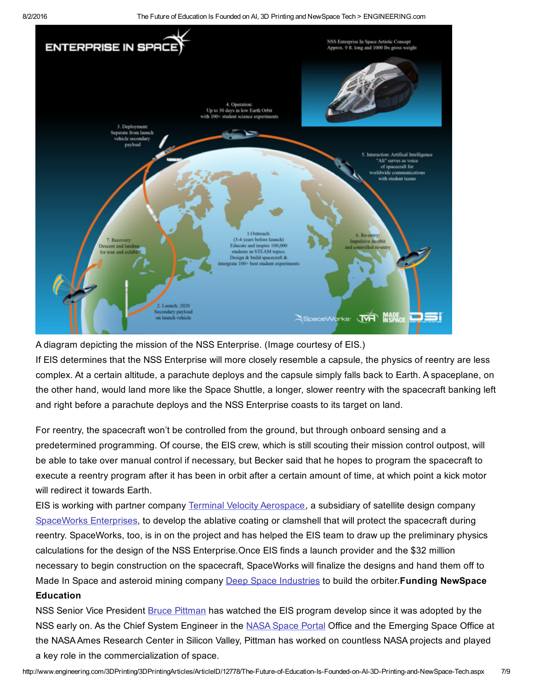8/2/2016 The Future of Education Is Founded on AI, 3D Printing and NewSpace Tech > ENGINEERING.com



A diagram depicting the mission of the NSS Enterprise. (Image courtesy of EIS.)

If EIS determines that the NSS Enterprise will more closely resemble a capsule, the physics of reentry are less complex. At a certain altitude, a parachute deploys and the capsule simply falls back to Earth. A spaceplane, on the other hand, would land more like the Space Shuttle, a longer, slower reentry with the spacecraft banking left and right before a parachute deploys and the NSS Enterprise coasts to its target on land.

For reentry, the spacecraft won't be controlled from the ground, but through onboard sensing and a predetermined programming. Of course, the EIS crew, which is still scouting their mission control outpost, will be able to take over manual control if necessary, but Becker said that he hopes to program the spacecraft to execute a reentry program after it has been in orbit after a certain amount of time, at which point a kick motor will redirect it towards Earth.

EIS is working with partner company Terminal Velocity [Aerospace,](http://terminalvelocityaero.com/) a subsidiary of satellite design company [SpaceWorks](http://www.sei.aero/) Enterprises, to develop the ablative coating or clamshell that will protect the spacecraft during reentry. SpaceWorks, too, is in on the project and has helped the EIS team to draw up the preliminary physics calculations for the design of the NSS Enterprise*.*Once EIS finds a launch provider and the \$32 million necessary to begin construction on the spacecraft, SpaceWorks will finalize the designs and hand them off to Made In Space and asteroid mining company Deep Space [Industries](https://deepspaceindustries.com/) to build the orbiter. **Funding NewSpace** Education

NSS Senior Vice President Bruce [Pittman](http://www.engineering.com/LinkClick.aspx?link=http%3a%2f%2fwww.nss.org%2fabout%2fbios%2fpittman.html&tabid=5923&portalid=0&mid=429) has watched the EIS program develop since it was adopted by the NSS early on. As the Chief System Engineer in the NASA [Space](http://www.engineering.com/LinkClick.aspx?link=http%3a%2f%2fwww.nasa.gov%2fames%2fpartnerships%2fspaceportal%2fteam&tabid=5923&portalid=0&mid=429) Portal Office and the Emerging Space Office at the NASAAmes Research Center in Silicon Valley, Pittman has worked on countless NASA projects and played a key role in the commercialization of space.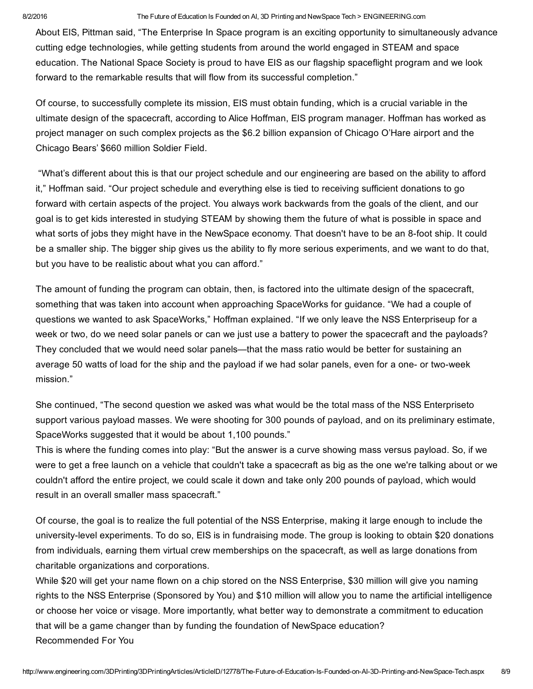#### 8/2/2016 The Future of Education Is Founded on AI, 3D Printing and NewSpace Tech > ENGINEERING.com

About EIS, Pittman said, "The Enterprise In Space program is an exciting opportunity to simultaneously advance cutting edge technologies, while getting students from around the world engaged in STEAM and space education. The National Space Society is proud to have EIS as our flagship spaceflight program and we look forward to the remarkable results that will flow from its successful completion."

Of course, to successfully complete its mission, EIS must obtain funding, which is a crucial variable in the ultimate design of the spacecraft, according to Alice Hoffman, EIS program manager. Hoffman has worked as project manager on such complex projects as the \$6.2 billion expansion of Chicago O'Hare airport and the Chicago Bears' \$660 million Soldier Field.

"What's different about this is that our project schedule and our engineering are based on the ability to afford it," Hoffman said. "Our project schedule and everything else is tied to receiving sufficient donations to go forward with certain aspects of the project. You always work backwards from the goals of the client, and our goal is to get kids interested in studying STEAM by showing them the future of what is possible in space and what sorts of jobs they might have in the NewSpace economy. That doesn't have to be an 8-foot ship. It could be a smaller ship. The bigger ship gives us the ability to fly more serious experiments, and we want to do that, but you have to be realistic about what you can afford."

The amount of funding the program can obtain, then, is factored into the ultimate design of the spacecraft, something that was taken into account when approaching SpaceWorks for guidance. "We had a couple of questions we wanted to ask SpaceWorks," Hoffman explained. "If we only leave the NSS Enterpriseup for a week or two, do we need solar panels or can we just use a battery to power the spacecraft and the payloads? They concluded that we would need solar panels—that the mass ratio would be better for sustaining an average 50 watts of load for the ship and the payload if we had solar panels, even for a one- or two-week mission."

She continued, "The second question we asked was what would be the total mass of the NSS Enterpriseto support various payload masses. We were shooting for 300 pounds of payload, and on its preliminary estimate, SpaceWorks suggested that it would be about 1,100 pounds."

This is where the funding comes into play: "But the answer is a curve showing mass versus payload. So, if we were to get a free launch on a vehicle that couldn't take a spacecraft as big as the one we're talking about or we couldn't afford the entire project, we could scale it down and take only 200 pounds of payload, which would result in an overall smaller mass spacecraft."

Of course, the goal is to realize the full potential of the NSS Enterprise, making it large enough to include the university-level experiments. To do so, EIS is in fundraising mode. The group is looking to obtain \$20 donations from individuals, earning them virtual crew memberships on the spacecraft, as well as large donations from charitable organizations and corporations.

While \$20 will get your name flown on a chip stored on the NSS Enterprise, \$30 million will give you naming rights to the NSS Enterprise (Sponsored by You) and \$10 million will allow you to name the artificial intelligence or choose her voice or visage. More importantly, what better way to demonstrate a commitment to education that will be a game changer than by funding the foundation of NewSpace education? Recommended For You